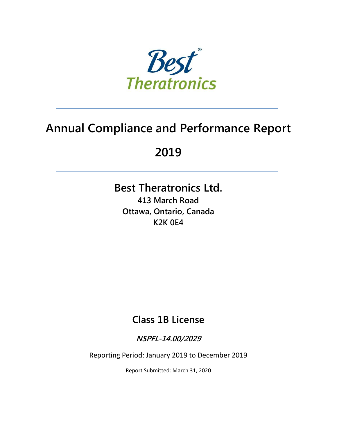

# **Annual Compliance and Performance Report**

**2019** 

# **Best Theratronics Ltd.**

**413 March Road Ottawa, Ontario, Canada K2K 0E4** 

# **Class 1B License**

**NSPFL-14.00/2029** 

Reporting Period: January 2019 to December 2019

Report Submitted: March 31, 2020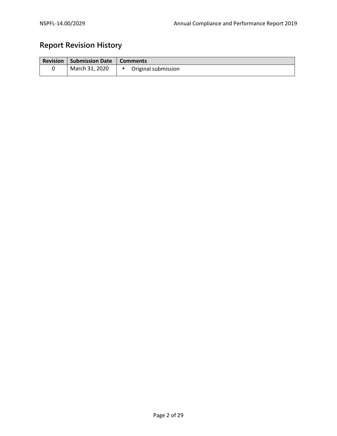# **Report Revision History**

| <b>Revision</b> | Submission Date   Comments |                     |
|-----------------|----------------------------|---------------------|
|                 | March 31, 2020             | Original submission |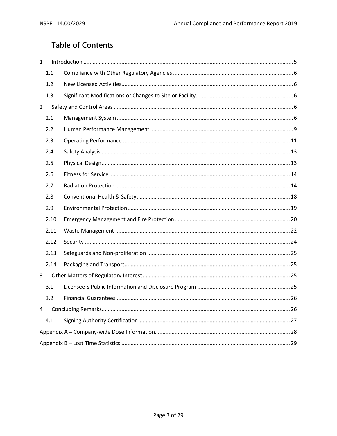## **Table of Contents**

| $\mathbf{1}$   |      |  |  |  |
|----------------|------|--|--|--|
|                | 1.1  |  |  |  |
|                | 1.2  |  |  |  |
|                | 1.3  |  |  |  |
| $\overline{2}$ |      |  |  |  |
|                | 2.1  |  |  |  |
|                | 2.2  |  |  |  |
|                | 2.3  |  |  |  |
|                | 2.4  |  |  |  |
|                | 2.5  |  |  |  |
|                | 2.6  |  |  |  |
|                | 2.7  |  |  |  |
|                | 2.8  |  |  |  |
|                | 2.9  |  |  |  |
|                | 2.10 |  |  |  |
|                | 2.11 |  |  |  |
|                | 2.12 |  |  |  |
|                | 2.13 |  |  |  |
|                | 2.14 |  |  |  |
| 3              |      |  |  |  |
|                | 3.1  |  |  |  |
|                | 3.2  |  |  |  |
| 4              |      |  |  |  |
|                | 4.1  |  |  |  |
|                |      |  |  |  |
|                |      |  |  |  |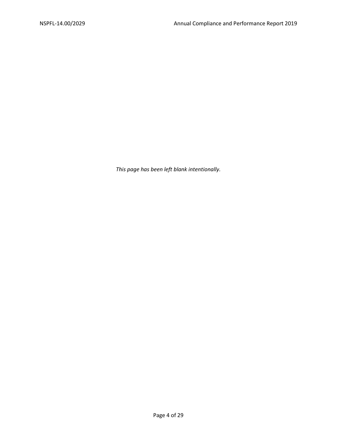*This page has been left blank intentionally.*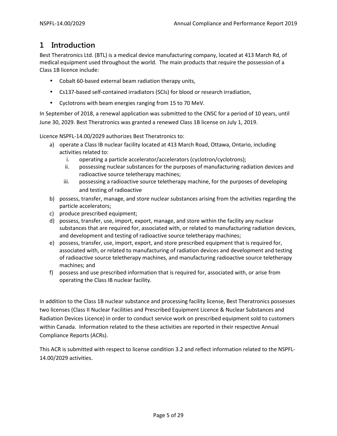## **1 Introduction**

Best Theratronics Ltd. (BTL) is a medical device manufacturing company, located at 413 March Rd, of medical equipment used throughout the world. The main products that require the possession of a Class 1B licence include:

- Cobalt 60-based external beam radiation therapy units,
- Cs137-based self-contained irradiators (SCIs) for blood or research irradiation,
- Cyclotrons with beam energies ranging from 15 to 70 MeV.

In September of 2018, a renewal application was submitted to the CNSC for a period of 10 years, until June 30, 2029. Best Theratronics was granted a renewed Class 1B license on July 1, 2019.

Licence NSPFL-14.00/2029 authorizes Best Theratronics to:

- a) operate a Class IB nuclear facility located at 413 March Road, Ottawa, Ontario, including activities related to:
	- i. operating a particle accelerator/accelerators (cyclotron/cyclotrons);
	- ii. possessing nuclear substances for the purposes of manufacturing radiation devices and radioactive source teletherapy machines;
	- iii. possessing a radioactive source teletherapy machine, for the purposes of developing and testing of radioactive
- b) possess, transfer, manage, and store nuclear substances arising from the activities regarding the particle accelerators;
- c) produce prescribed equipment;
- d) possess, transfer, use, import, export, manage, and store within the facility any nuclear substances that are required for, associated with, or related to manufacturing radiation devices, and development and testing of radioactive source teletherapy machines;
- e) possess, transfer, use, import, export, and store prescribed equipment that is required for, associated with, or related to manufacturing of radiation devices and development and testing of radioactive source teletherapy machines, and manufacturing radioactive source teletherapy machines; and
- f) possess and use prescribed information that is required for, associated with, or arise from operating the Class IB nuclear facility.

In addition to the Class 1B nuclear substance and processing facility license, Best Theratronics possesses two licenses (Class II Nuclear Facilities and Prescribed Equipment Licence & Nuclear Substances and Radiation Devices Licence) in order to conduct service work on prescribed equipment sold to customers within Canada. Information related to the these activities are reported in their respective Annual Compliance Reports (ACRs).

This ACR is submitted with respect to license condition 3.2 and reflect information related to the NSPFL-14.00/2029 activities.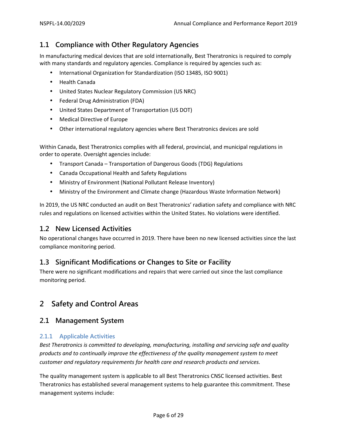## **1.1 Compliance with Other Regulatory Agencies**

In manufacturing medical devices that are sold internationally, Best Theratronics is required to comply with many standards and regulatory agencies. Compliance is required by agencies such as:

- International Organization for Standardization (ISO 13485, ISO 9001)
- Health Canada
- United States Nuclear Regulatory Commission (US NRC)
- Federal Drug Administration (FDA)
- United States Department of Transportation (US DOT)
- Medical Directive of Europe
- Other international regulatory agencies where Best Theratronics devices are sold

Within Canada, Best Theratronics complies with all federal, provincial, and municipal regulations in order to operate. Oversight agencies include:

- Transport Canada Transportation of Dangerous Goods (TDG) Regulations
- Canada Occupational Health and Safety Regulations
- Ministry of Environment (National Pollutant Release Inventory)
- Ministry of the Environment and Climate change (Hazardous Waste Information Network)

In 2019, the US NRC conducted an audit on Best Theratronics' radiation safety and compliance with NRC rules and regulations on licensed activities within the United States. No violations were identified.

## **1.2 New Licensed Activities**

No operational changes have occurred in 2019. There have been no new licensed activities since the last compliance monitoring period.

#### **1.3 Significant Modifications or Changes to Site or Facility**

There were no significant modifications and repairs that were carried out since the last compliance monitoring period.

## **2 Safety and Control Areas**

#### **2.1 Management System**

#### **2.1.1 Applicable Activities**

*Best Theratronics is committed to developing, manufacturing, installing and servicing safe and quality products and to continually improve the effectiveness of the quality management system to meet customer and regulatory requirements for health care and research products and services.* 

The quality management system is applicable to all Best Theratronics CNSC licensed activities. Best Theratronics has established several management systems to help guarantee this commitment. These management systems include: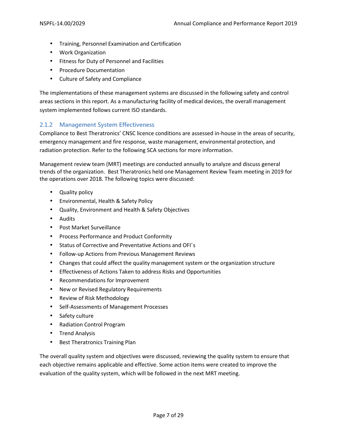- Training, Personnel Examination and Certification
- Work Organization
- Fitness for Duty of Personnel and Facilities
- Procedure Documentation
- Culture of Safety and Compliance

The implementations of these management systems are discussed in the following safety and control areas sections in this report. As a manufacturing facility of medical devices, the overall management system implemented follows current ISO standards.

#### **2.1.2 Management System Effectiveness**

Compliance to Best Theratronics' CNSC licence conditions are assessed in-house in the areas of security, emergency management and fire response, waste management, environmental protection, and radiation protection. Refer to the following SCA sections for more information.

Management review team (MRT) meetings are conducted annually to analyze and discuss general trends of the organization. Best Theratronics held one Management Review Team meeting in 2019 for the operations over 2018. The following topics were discussed:

- Quality policy
- Environmental, Health & Safety Policy
- Quality, Environment and Health & Safety Objectives
- Audits
- Post Market Surveillance
- Process Performance and Product Conformity
- Status of Corrective and Preventative Actions and OFI's
- Follow-up Actions from Previous Management Reviews
- Changes that could affect the quality management system or the organization structure
- Effectiveness of Actions Taken to address Risks and Opportunities
- Recommendations for Improvement
- New or Revised Regulatory Requirements
- Review of Risk Methodology
- Self-Assessments of Management Processes
- Safety culture
- Radiation Control Program
- Trend Analysis
- Best Theratronics Training Plan

The overall quality system and objectives were discussed, reviewing the quality system to ensure that each objective remains applicable and effective. Some action items were created to improve the evaluation of the quality system, which will be followed in the next MRT meeting.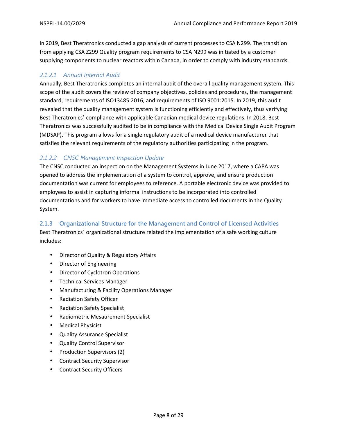In 2019, Best Theratronics conducted a gap analysis of current processes to CSA N299. The transition from applying CSA Z299 Quality program requirements to CSA N299 was initiated by a customer supplying components to nuclear reactors within Canada, in order to comply with industry standards.

#### *2.1.2.1 Annual Internal Audit*

Annually, Best Theratronics completes an internal audit of the overall quality management system. This scope of the audit covers the review of company objectives, policies and procedures, the management standard, requirements of ISO13485:2016, and requirements of ISO 9001:2015. In 2019, this audit revealed that the quality management system is functioning efficiently and effectively, thus verifying Best Theratronics' compliance with applicable Canadian medical device regulations. In 2018, Best Theratronics was successfully audited to be in compliance with the Medical Device Single Audit Program (MDSAP). This program allows for a single regulatory audit of a medical device manufacturer that satisfies the relevant requirements of the regulatory authorities participating in the program.

## *2.1.2.2 CNSC Management Inspection Update*

The CNSC conducted an inspection on the Management Systems in June 2017, where a CAPA was opened to address the implementation of a system to control, approve, and ensure production documentation was current for employees to reference. A portable electronic device was provided to employees to assist in capturing informal instructions to be incorporated into controlled documentations and for workers to have immediate access to controlled documents in the Quality System.

#### **2.1.3 Organizational Structure for the Management and Control of Licensed Activities**

Best Theratronics' organizational structure related the implementation of a safe working culture includes:

- Director of Quality & Regulatory Affairs
- Director of Engineering
- Director of Cyclotron Operations
- Technical Services Manager
- Manufacturing & Facility Operations Manager
- Radiation Safety Officer
- Radiation Safety Specialist
- Radiometric Mesaurement Specialist
- Medical Physicist
- Quality Assurance Specialist
- Quality Control Supervisor
- Production Supervisors (2)
- Contract Security Supervisor
- Contract Security Officers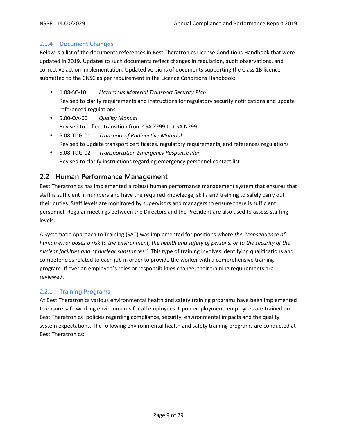#### **2.1.4 Document Changes**

Below is a list of the documents references in Best Theratronics License Conditions Handbook that were updated in 2019. Updates to such documents reflect changes in regulation, audit observations, and corrective action implementation. Updated versions of documents supporting the Class 1B licence submitted to the CNSC as per requirement in the Licence Conditions Handbook:

- 1.08-SC-10 *Hazardous Material Transport Security Plan* Revised to clarify requirements and instructions for regulatory security notifications and update referenced regulations
- 5.00-QA-00 *Quality Manual* Revised to reflect transition from CSA Z299 to CSA N299
- 5.08-TDG-01 *Transport of Radioactive Material* Revised to update transport certificates, regulatory requirements, and references regulations
- 5.08-TDG-02 *Transportation Emergency Response Plan* Revised to clarify instructions regarding emergency personnel contact list

## **2.2 Human Performance Management**

Best Theratronics has implemented a robust human performance management system that ensures that staff is sufficient in numbers and have the required knowledge, skills and training to safely carry out their duties. Staff levels are monitored by supervisors and managers to ensure there is sufficient personnel. Regular meetings between the Directors and the President are also used to assess staffing levels.

A Systematic Approach to Training (SAT) was implemented for positions where *the "consequence of human error poses a risk to the environment, the health and safety of persons, or to the security of the nuclear facilities and of nuclear substances".* This type of training involves identifying qualifications and competencies related to each job in order to provide the worker with a comprehensive training program. If ever an employee's roles or responsibilities change, their training requirements are reviewed.

#### **2.2.1 Training Programs**

At Best Theratronics various environmental health and safety training programs have been implemented to ensure safe working environments for all employees. Upon employment, employees are trained on Best Theratronics' policies regarding compliance, security, environmental impacts and the quality system expectations. The following environmental health and safety training programs are conducted at Best Theratronics: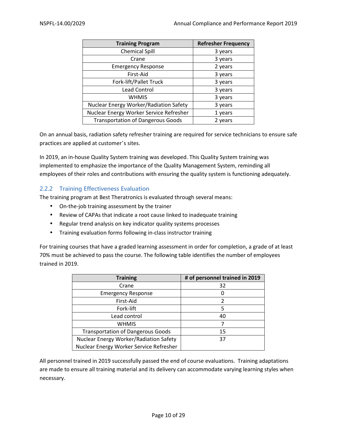| <b>Training Program</b>                  | <b>Refresher Frequency</b> |
|------------------------------------------|----------------------------|
| <b>Chemical Spill</b>                    | 3 years                    |
| Crane                                    | 3 years                    |
| <b>Emergency Response</b>                | 2 years                    |
| First-Aid                                | 3 years                    |
| Fork-lift/Pallet Truck                   | 3 years                    |
| <b>Lead Control</b>                      | 3 years                    |
| <b>WHMIS</b>                             | 3 years                    |
| Nuclear Energy Worker/Radiation Safety   | 3 years                    |
| Nuclear Energy Worker Service Refresher  | 1 years                    |
| <b>Transportation of Dangerous Goods</b> | 2 years                    |

On an annual basis, radiation safety refresher training are required for service technicians to ensure safe practices are applied at customer's sites.

In 2019, an in-house Quality System training was developed. This Quality System training was implemented to emphasize the importance of the Quality Management System, reminding all employees of their roles and contributions with ensuring the quality system is functioning adequately.

#### **2.2.2 Training Effectiveness Evaluation**

The training program at Best Theratronics is evaluated through several means:

- On-the-job training assessment by the trainer
- Review of CAPAs that indicate a root cause linked to inadequate training
- Regular trend analysis on key indicator quality systems processes
- Training evaluation forms following in-class instructor training

For training courses that have a graded learning assessment in order for completion, a grade of at least 70% must be achieved to pass the course. The following table identifies the number of employees trained in 2019.

| <b>Training</b>                          | # of personnel trained in 2019 |
|------------------------------------------|--------------------------------|
| Crane                                    | 32                             |
| <b>Emergency Response</b>                | 0                              |
| First-Aid                                |                                |
| Fork-lift                                |                                |
| Lead control                             | 40                             |
| <b>WHMIS</b>                             |                                |
| <b>Transportation of Dangerous Goods</b> | 15                             |
| Nuclear Energy Worker/Radiation Safety   | 37                             |
| Nuclear Energy Worker Service Refresher  |                                |

All personnel trained in 2019 successfully passed the end of course evaluations. Training adaptations are made to ensure all training material and its delivery can accommodate varying learning styles when necessary.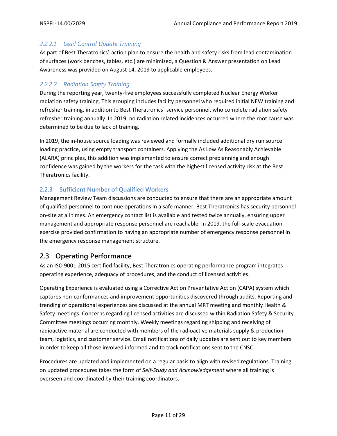## *2.2.2.1 Lead Control Update Training*

As part of Best Theratronics' action plan to ensure the health and safety risks from lead contamination of surfaces (work benches, tables, etc.) are minimized, a Question & Answer presentation on Lead Awareness was provided on August 14, 2019 to applicable employees.

#### *2.2.2.2 Radiation Safety Training*

During the reporting year, twenty-five employees successfully completed Nuclear Energy Worker radiation safety training. This grouping includes facility personnel who required initial NEW training and refresher training, in addition to Best Theratronics' service personnel, who complete radiation safety refresher training annually. In 2019, no radiation related incidences occurred where the root cause was determined to be due to lack of training.

In 2019, the in-house source loading was reviewed and formally included additional dry run source loading practice, using empty transport containers. Applying the As Low As Reasonably Achievable (ALARA) principles, this addition was implemented to ensure correct preplanning and enough confidence was gained by the workers for the task with the highest licensed activity risk at the Best Theratronics facility.

### **2.2.3 Sufficient Number of Qualified Workers**

Management Review Team discussions are conducted to ensure that there are an appropriate amount of qualified personnel to continue operations in a safe manner. Best Theratronics has security personnel on-site at all times. An emergency contact list is available and tested twice annually, ensuring upper management and appropriate response personnel are reachable. In 2019, the full-scale evacuation exercise provided confirmation to having an appropriate number of emergency response personnel in the emergency response management structure.

## **2.3 Operating Performance**

As an ISO 9001:2015 certified facility, Best Theratronics operating performance program integrates operating experience, adequacy of procedures, and the conduct of licensed activities.

Operating Experience is evaluated using a Corrective Action Preventative Action (CAPA) system which captures non-conformances and improvement opportunities discovered through audits. Reporting and trending of operational experiences are discussed at the annual MRT meeting and monthly Health & Safety meetings. Concerns regarding licensed activities are discussed within Radiation Safety & Security Committee meetings occurring monthly. Weekly meetings regarding shipping and receiving of radioactive material are conducted with members of the radioactive materials supply & production team, logistics, and customer service. Email notifications of daily updates are sent out to key members in order to keep all those involved informed and to track notifications sent to the CNSC.

Procedures are updated and implemented on a regular basis to align with revised regulations. Training on updated procedures takes the form of *Self-Study and Acknowledgement* where all training is overseen and coordinated by their training coordinators.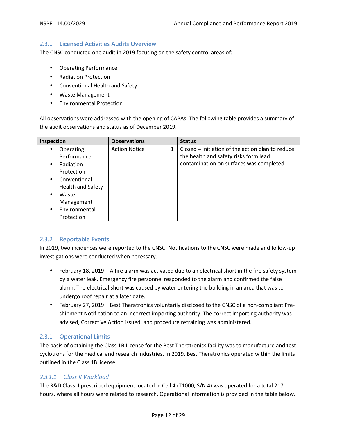#### **2.3.1 Licensed Activities Audits Overview**

The CNSC conducted one audit in 2019 focusing on the safety control areas of:

- Operating Performance
- Radiation Protection
- Conventional Health and Safety
- Waste Management
- Environmental Protection

All observations were addressed with the opening of CAPAs. The following table provides a summary of the audit observations and status as of December 2019.

| Inspection                | <b>Observations</b>       | <b>Status</b>                                    |
|---------------------------|---------------------------|--------------------------------------------------|
| Operating<br>$\bullet$    | <b>Action Notice</b><br>1 | Closed – Initiation of the action plan to reduce |
| Performance               |                           | the health and safety risks form lead            |
| Radiation<br>$\bullet$    |                           | contamination on surfaces was completed.         |
| Protection                |                           |                                                  |
| Conventional<br>$\bullet$ |                           |                                                  |
| Health and Safety         |                           |                                                  |
| Waste<br>$\bullet$        |                           |                                                  |
| Management                |                           |                                                  |
| Environmental             |                           |                                                  |
| Protection                |                           |                                                  |

#### **2.3.2 Reportable Events**

In 2019, two incidences were reported to the CNSC. Notifications to the CNSC were made and follow-up investigations were conducted when necessary.

- February 18, 2019 A fire alarm was activated due to an electrical short in the fire safety system by a water leak. Emergency fire personnel responded to the alarm and confirmed the false alarm. The electrical short was caused by water entering the building in an area that was to undergo roof repair at a later date.
- February 27, 2019 Best Theratronics voluntarily disclosed to the CNSC of a non-compliant Preshipment Notification to an incorrect importing authority. The correct importing authority was advised, Corrective Action issued, and procedure retraining was administered.

#### **2.3.1 Operational Limits**

The basis of obtaining the Class 1B License for the Best Theratronics facility was to manufacture and test cyclotrons for the medical and research industries. In 2019, Best Theratronics operated within the limits outlined in the Class 1B license.

#### *2.3.1.1 Class II Workload*

The R&D Class II prescribed equipment located in Cell 4 (T1000, S/N 4) was operated for a total 217 hours, where all hours were related to research. Operational information is provided in the table below.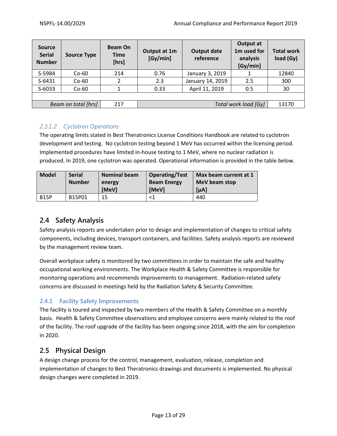| Source<br><b>Serial</b><br><b>Number</b> | <b>Source Type</b>  | <b>Beam On</b><br><b>Time</b><br>[hrs] | Output at 1m<br>[Gy/min] | Output date<br>reference | Output at<br>1 <sub>m</sub> used for<br>analysis<br>[Gy/min] | <b>Total work</b><br>load (Gy) |
|------------------------------------------|---------------------|----------------------------------------|--------------------------|--------------------------|--------------------------------------------------------------|--------------------------------|
| S-5984                                   | $Co-60$             | 214                                    | 0.76                     | January 3, 2019          |                                                              | 12840                          |
| $S-6431$                                 | $Co-60$             | 2                                      | 2.3                      | January 14, 2019         | 2.5                                                          | 300                            |
| $S-6033$                                 | $Co-60$             |                                        | 0.33                     | April 11, 2019           | 0.5                                                          | 30                             |
|                                          |                     |                                        |                          |                          |                                                              |                                |
|                                          | Beam on total [hrs] | 217                                    | Total work load [Gy]     |                          |                                                              | 13170                          |

### *2.3.1.2 Cyclotron Operations*

The operating limits stated in Best Theratronics License Conditions Handbook are related to cyclotron development and testing. No cyclotron testing beyond 1 MeV has occurred within the licensing period. Implemented procedures have limited in-house testing to 1 MeV, where no nuclear radiation is produced. In 2019, one cyclotron was operated. Operational information is provided in the table below.

| <b>Model</b> | <b>Serial</b><br><b>Number</b> | <b>Nominal beam</b><br>energy<br>[MeV] | <b>Operating/Test</b><br><b>Beam Energy</b><br>[MeV] | Max beam current at 1<br>MeV beam stop<br>$[\mu A]$ |
|--------------|--------------------------------|----------------------------------------|------------------------------------------------------|-----------------------------------------------------|
| <b>B15P</b>  | B15P01                         | 15                                     |                                                      | 440                                                 |

## **2.4 Safety Analysis**

Safety analysis reports are undertaken prior to design and implementation of changes to critical safety components, including devices, transport containers, and facilities. Safety analysis reports are reviewed by the management review team.

Overall workplace safety is monitored by two committees in order to maintain the safe and healthy occupational working environments. The Workplace Health & Safety Committee is responsible for monitoring operations and recommends improvements to management. Radiation-related safety concerns are discussed in meetings held by the Radiation Safety & Security Committee.

## **2.4.1 Facility Safety Improvements**

The facility is toured and inspected by two members of the Health & Safety Committee on a monthly basis. Health & Safety Committee observations and employee concerns were mainly related to the roof of the facility. The roof upgrade of the facility has been ongoing since 2018, with the aim for completion in 2020.

## **2.5 Physical Design**

A design change process for the control, management, evaluation, release, completion and implementation of changes to Best Theratronics drawings and documents is implemented. No physical design changes were completed in 2019.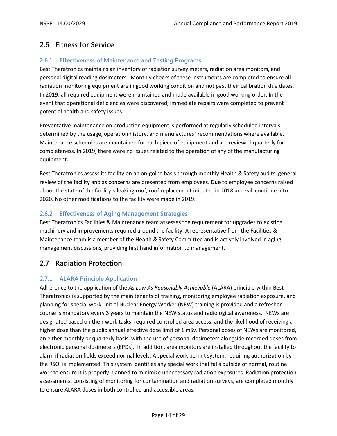## **2.6 Fitness for Service**

#### **2.6.1 Effectiveness of Maintenance and Testing Programs**

Best Theratronics maintains an inventory of radiation survey meters, radiation area monitors, and personal digital reading dosimeters. Monthly checks of these instruments are completed to ensure all radiation monitoring equipment are in good working condition and not past their calibration due dates. In 2019, all required equipment were maintained and made available in good working order. In the event that operational deficiencies were discovered, immediate repairs were completed to prevent potential health and safety issues.

Preventative maintenance on production equipment is performed at regularly scheduled intervals determined by the usage, operation history, and manufactures' recommendations where available. Maintenance schedules are maintained for each piece of equipment and are reviewed quarterly for completeness. In 2019, there were no issues related to the operation of any of the manufacturing equipment.

Best Theratronics assess its facility on an on-going basis through monthly Health & Safety audits, general review of the facility and as concerns are presented from employees. Due to employee concerns raised about the state of the facility's leaking roof, roof replacement initiated in 2018 and will continue into 2020. No other modifications to the facility were made in 2019.

#### **2.6.2 Effectiveness of Aging Management Strategies**

Best Theratronics Facilities & Maintenance team assesses the requirement for upgrades to existing machinery and improvements required around the facility. A representative from the Facilities & Maintenance team is a member of the Health & Safety Committee and is actively involved in aging management discussions, providing first hand information to management.

## **2.7 Radiation Protection**

#### **2.7.1 ALARA Principle Application**

Adherence to the application of the *As Low As Reasonably Achievable* (ALARA) principle within Best Theratronics is supported by the main tenants of training, monitoring employee radiation exposure, and planning for special work. Initial Nuclear Energy Worker (NEW) training is provided and a refresher course is mandatory every 3 years to maintain the NEW status and radiological awareness. NEWs are designated based on their work tasks, required controlled area access, and the likelihood of receiving a higher dose than the public annual effective dose limit of 1 mSv. Personal doses of NEWs are monitored, on either monthly or quarterly basis, with the use of personal dosimeters alongside recorded doses from electronic personal dosimeters (EPDs). In addition, area monitors are installed throughout the facility to alarm if radiation fields exceed normal levels. A special work permit system, requiring authorization by the RSO, is implemented. This system identifies any special work that falls outside of normal, routine work to ensure it is properly planned to minimize unnecessary radiation exposures. Radiation protection assessments, consisting of monitoring for contamination and radiation surveys, are completed monthly to ensure ALARA doses in both controlled and accessible areas.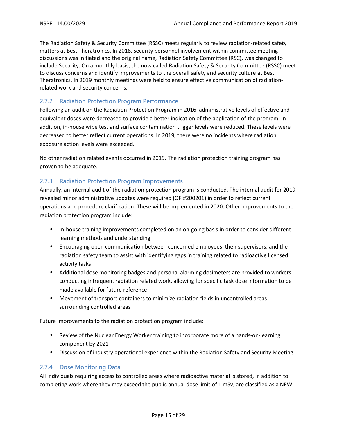The Radiation Safety & Security Committee (RSSC) meets regularly to review radiation-related safety matters at Best Theratronics. In 2018, security personnel involvement within committee meeting discussions was initiated and the original name, Radiation Safety Committee (RSC), was changed to include Security. On a monthly basis, the now called Radiation Safety & Security Committee (RSSC) meet to discuss concerns and identify improvements to the overall safety and security culture at Best Theratronics. In 2019 monthly meetings were held to ensure effective communication of radiationrelated work and security concerns.

#### **2.7.2 Radiation Protection Program Performance**

Following an audit on the Radiation Protection Program in 2016, administrative levels of effective and equivalent doses were decreased to provide a better indication of the application of the program. In addition, in-house wipe test and surface contamination trigger levels were reduced. These levels were decreased to better reflect current operations. In 2019, there were no incidents where radiation exposure action levels were exceeded.

No other radiation related events occurred in 2019. The radiation protection training program has proven to be adequate.

#### **2.7.3 Radiation Protection Program Improvements**

Annually, an internal audit of the radiation protection program is conducted. The internal audit for 2019 revealed minor administrative updates were required (OFI#200201) in order to reflect current operations and procedure clarification. These will be implemented in 2020. Other improvements to the radiation protection program include:

- In-house training improvements completed on an on-going basis in order to consider different learning methods and understanding
- Encouraging open communication between concerned employees, their supervisors, and the radiation safety team to assist with identifying gaps in training related to radioactive licensed activity tasks
- Additional dose monitoring badges and personal alarming dosimeters are provided to workers conducting infrequent radiation related work, allowing for specific task dose information to be made available for future reference
- Movement of transport containers to minimize radiation fields in uncontrolled areas surrounding controlled areas

Future improvements to the radiation protection program include:

- Review of the Nuclear Energy Worker training to incorporate more of a hands-on-learning component by 2021
- Discussion of industry operational experience within the Radiation Safety and Security Meeting

#### **2.7.4 Dose Monitoring Data**

All individuals requiring access to controlled areas where radioactive material is stored, in addition to completing work where they may exceed the public annual dose limit of 1 mSv, are classified as a NEW.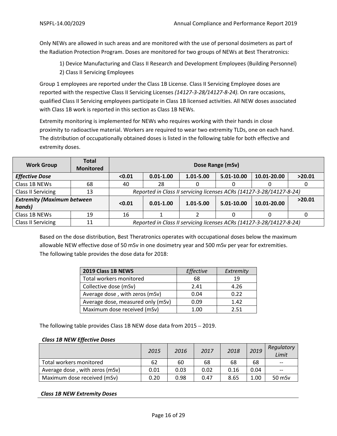Only NEWs are allowed in such areas and are monitored with the use of personal dosimeters as part of the Radiation Protection Program. Doses are monitored for two groups of NEWs at Best Theratronics:

1) Device Manufacturing and Class II Research and Development Employees (Building Personnel) 2) Class II Servicing Employees

Group 1 employees are reported under the Class 1B License. Class II Servicing Employee doses are reported with the respective Class II Servicing Licenses *(14127-3-28/14127-8-24).* On rare occasions, qualified Class II Servicing employees participate in Class 1B licensed activities. All NEW doses associated with Class 1B work is reported in this section as Class 1B NEWs.

Extremity monitoring is implemented for NEWs who requires working with their hands in close proximity to radioactive material. Workers are required to wear two extremity TLDs, one on each hand. The distribution of occupationally obtained doses is listed in the following table for both effective and extremity doses.

| <b>Total</b><br><b>Work Group</b><br><b>Monitored</b> |        | Dose Range (mSv)                                                     |               |            |             |             |        |
|-------------------------------------------------------|--------|----------------------------------------------------------------------|---------------|------------|-------------|-------------|--------|
| <b>Effective Dose</b>                                 |        | < 0.01                                                               | $0.01 - 1.00$ | 1.01-5.00  | 5.01-10.00  | 10.01-20.00 | >20.01 |
| Class 1B NEWs                                         | 68     | 40                                                                   | 28            |            |             |             |        |
| <b>Class II Servicing</b><br>13                       |        | Reported in Class II servicing licenses ACRs (14127-3-28/14127-8-24) |               |            |             |             |        |
| <b>Extremity (Maximum between</b><br>hands)           | < 0.01 | $0.01 - 1.00$                                                        | 1.01-5.00     | 5.01-10.00 | 10.01-20.00 | >20.01      |        |
| Class 1B NEWs                                         | 19     | 16                                                                   |               |            |             |             |        |
| <b>Class II Servicing</b><br>11                       |        | Reported in Class II servicing licenses ACRs (14127-3-28/14127-8-24) |               |            |             |             |        |

Based on the dose distribution, Best Theratronics operates with occupational doses below the maximum allowable NEW effective dose of 50 mSv in one dosimetry year and 500 mSv per year for extremities. The following table provides the dose data for 2018:

| 2019 Class 1B NEWS                | Effective | Extremity |
|-----------------------------------|-----------|-----------|
| Total workers monitored           | 68        | 19        |
| Collective dose (mSv)             | 2.41      | 4.26      |
| Average dose, with zeros (mSv)    | 0.04      | 0.22      |
| Average dose, measured only (mSv) | 0.09      | 1.42      |
| Maximum dose received (mSv)       | 1.00      | 2.51      |

The following table provides Class 1B NEW dose data from 2015 – 2019.

#### *Class 1B NEW Effective Doses*

|                                | 2015 | 2016 | 2017 | 2018 | 2019 | Regulatory<br>Limit                   |
|--------------------------------|------|------|------|------|------|---------------------------------------|
| Total workers monitored        | 62   | 60   | 68   | 68   | 68   | $\hspace{0.05cm}$ – $\hspace{0.05cm}$ |
| Average dose, with zeros (mSv) | 0.01 | 0.03 | 0.02 | 0.16 | 0.04 | $- -$                                 |
| Maximum dose received (mSv)    | 0.20 | 0.98 | 0.47 | 8.65 | 1.00 | $50$ mSv                              |

#### *Class 1B NEW Extremity Doses*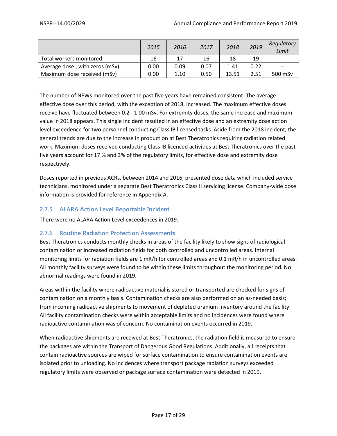|                                | 2015 | 2016 | 2017 | 2018  | 2019 | Regulatory<br>Limit |
|--------------------------------|------|------|------|-------|------|---------------------|
| Total workers monitored        | 16   | 17   | 16   | 18    | 19   | $- -$               |
| Average dose, with zeros (mSv) | 0.00 | 0.09 | 0.07 | 1.41  | 0.22 | $- -$               |
| Maximum dose received (mSv)    | 0.00 | 1.10 | 0.50 | 13.51 | 2.51 | 500 mSv             |

The number of NEWs monitored over the past five years have remained consistent. The average effective dose over this period, with the exception of 2018, increased. The maximum effective doses receive have fluctuated between 0.2 - 1.00 mSv. For extremity doses, the same increase and maximum value in 2018 appears. This single incident resulted in an effective dose and an extremity dose action level exceedence for two personnel conducting Class IB licensed tasks. Aside from the 2018 incident, the general trends are due to the increase in production at Best Theratronics requiring radiation related work. Maximum doses received conducting Class IB licenced activities at Best Theratronics over the past five years account for 17 % and 3% of the regulatory limits, for effective dose and extremity dose respectively.

Doses reported in previous ACRs, between 2014 and 2016, presented dose data which included service technicians, monitored under a separate Best Theratronics Class II servicing license. Company-wide dose information is provided for reference in Appendix A.

#### **2.7.5 ALARA Action Level Reportable Incident**

There were no ALARA Action Level exceedences in 2019.

#### **2.7.6 Routine Radiation Protection Assessments**

Best Theratronics conducts monthly checks in areas of the facility likely to show signs of radiological contamination or increased radiation fields for both controlled and uncontrolled areas. Internal monitoring limits for radiation fields are 1 mR/h for controlled areas and 0.1 mR/h in uncontrolled areas. All monthly facility surveys were found to be within these limits throughout the monitoring period. No abnormal readings were found in 2019.

Areas within the facility where radioactive material is stored or transported are checked for signs of contamination on a monthly basis. Contamination checks are also performed on an as-needed basis; from incoming radioactive shipments to movement of depleted uranium inventory around the facility. All facility contamination checks were within acceptable limits and no incidences were found where radioactive contamination was of concern. No contamination events occurred in 2019.

When radioactive shipments are received at Best Theratronics, the radiation field is measured to ensure the packages are within the Transport of Dangerous Good Regulations. Additionally, all receipts that contain radioactive sources are wiped for surface contamination to ensure contamination events are isolated prior to unloading. No incidences where transport package radiation surveys exceeded regulatory limits were observed or package surface contamination were detected in 2019.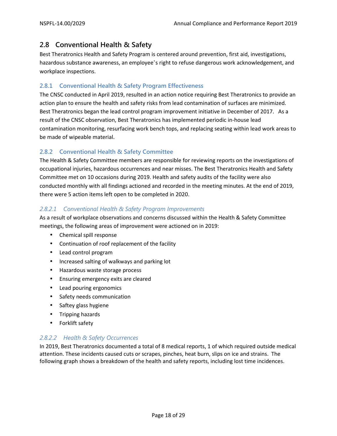## **2.8 Conventional Health & Safety**

Best Theratronics Health and Safety Program is centered around prevention, first aid, investigations, hazardous substance awareness, an employee's right to refuse dangerous work acknowledgement, and workplace inspections.

#### **2.8.1 Conventional Health & Safety Program Effectiveness**

The CNSC conducted in April 2019, resulted in an action notice requiring Best Theratronics to provide an action plan to ensure the health and safety risks from lead contamination of surfaces are minimized. Best Theratronics began the lead control program improvement initiative in December of 2017. As a result of the CNSC observation, Best Theratronics has implemented periodic in-house lead contamination monitoring, resurfacing work bench tops, and replacing seating within lead work areas to be made of wipeable material.

#### **2.8.2 Conventional Health & Safety Committee**

The Health & Safety Committee members are responsible for reviewing reports on the investigations of occupational injuries, hazardous occurrences and near misses. The Best Theratronics Health and Safety Committee met on 10 occasions during 2019. Health and safety audits of the facility were also conducted monthly with all findings actioned and recorded in the meeting minutes. At the end of 2019, there were 5 action items left open to be completed in 2020.

#### *2.8.2.1 Conventional Health & Safety Program Improvements*

As a result of workplace observations and concerns discussed within the Health & Safety Committee meetings, the following areas of improvement were actioned on in 2019:

- Chemical spill response
- Continuation of roof replacement of the facility
- Lead control program
- Increased salting of walkways and parking lot
- Hazardous waste storage process
- Ensuring emergency exits are cleared
- Lead pouring ergonomics
- Safety needs communication
- Saftey glass hygiene
- Tripping hazards
- Forklift safety

#### *2.8.2.2 Health & Safety Occurrences*

In 2019, Best Theratronics documented a total of 8 medical reports, 1 of which required outside medical attention. These incidents caused cuts or scrapes, pinches, heat burn, slips on ice and strains. The following graph shows a breakdown of the health and safety reports, including lost time incidences.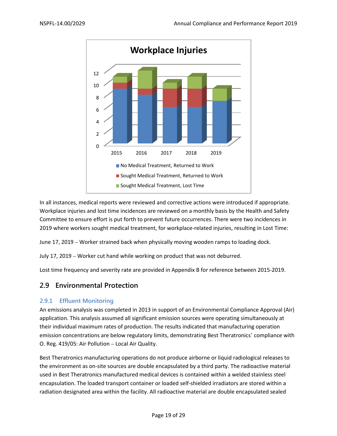

In all instances, medical reports were reviewed and corrective actions were introduced if appropriate. Workplace injuries and lost time incidences are reviewed on a monthly basis by the Health and Safety Committee to ensure effort is put forth to prevent future occurrences. There were two incidences in 2019 where workers sought medical treatment, for workplace-related injuries, resulting in Lost Time: medical reports were reviewed and corrective actions were introduced if appropriate<br>ies and lost time incidences are reviewed on a monthly basis by the Health and Safet<sub>)</sub><br>nsure effort is put forth to prevent future occurr

June 17, 2019 – Worker strained back when physically moving wooden ramps to loading dock.<br>July 17, 2019 – Worker cut hand while working on product that was not deburred.<br>Lost time frequency and severity rate are provided i

July 17, 2019 – Worker cut hand while working on product that was not deburred.

Lost time frequency and severity rate are provided in Appendix B for reference between 2015-2019.

#### **2.9 Environmental Protection**

#### **2.9.1 Effluent Monitoring**

An emissions analysis was completed in 2013 in support of an Environmental Compliance Approval (Air)<br>application. This analysis assumed all significant emission sources were operating simultaneously at<br>their individual max application. This analysis assumed all significant emission sources were operating simultaneously at their individual maximum rates of production. The results indicated that manufacturing operation their individual maximum rates of production. The results indicated that manufacturing operation<br>emission concentrations are below regulatory limits, demonstrating Best Theratronics' compliance with O. Reg. 419/05: Air Pollution – Local Air Quality.

Best Theratronics manufacturing operations do not produce airborne or liquid radiological releases to O. Reg. 419/05: Air Pollution – Local Air Quality.<br>Best Theratronics manufacturing operations do not produce airborne or liquid radiological releases to<br>the environment as on-site sources are double encapsulated by a third used in Best Theratronics manufactured medical devices is contained within a welded stainless steel encapsulation. The loaded transport container or loaded self-shielded irradiators are stored within a radiation designated area within the facility. All radioactive material are double encapsulated sealed . The radioactive materia<br>a welded stainless steel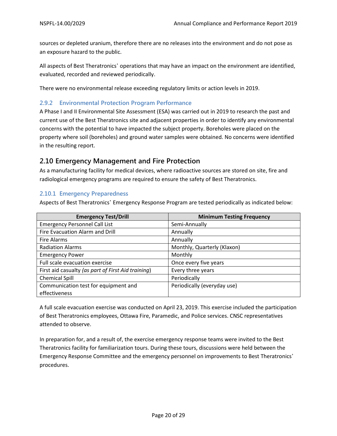sources or depleted uranium, therefore there are no releases into the environment and do not pose as an exposure hazard to the public.

All aspects of Best Theratronics' operations that may have an impact on the environment are identified, evaluated, recorded and reviewed periodically.

There were no environmental release exceeding regulatory limits or action levels in 2019.

#### **2.9.2 Environmental Protection Program Performance**

A Phase I and II Environmental Site Assessment (ESA) was carried out in 2019 to research the past and current use of the Best Theratronics site and adjacent properties in order to identify any environmental concerns with the potential to have impacted the subject property. Boreholes were placed on the property where soil (boreholes) and ground water samples were obtained. No concerns were identified in the resulting report.

#### **2.10 Emergency Management and Fire Protection**

As a manufacturing facility for medical devices, where radioactive sources are stored on site, fire and radiological emergency programs are required to ensure the safety of Best Theratronics.

#### **2.10.1 Emergency Preparedness**

Aspects of Best Theratronics' Emergency Response Program are tested periodically as indicated below:

| <b>Emergency Test/Drill</b>                        | <b>Minimum Testing Frequency</b> |
|----------------------------------------------------|----------------------------------|
| <b>Emergency Personnel Call List</b>               | Semi-Annually                    |
| Fire Evacuation Alarm and Drill                    | Annually                         |
| <b>Fire Alarms</b>                                 | Annually                         |
| <b>Radiation Alarms</b>                            | Monthly, Quarterly (Klaxon)      |
| <b>Emergency Power</b>                             | Monthly                          |
| Full scale evacuation exercise                     | Once every five years            |
| First aid casualty (as part of First Aid training) | Every three years                |
| <b>Chemical Spill</b>                              | Periodically                     |
| Communication test for equipment and               | Periodically (everyday use)      |
| effectiveness                                      |                                  |

A full scale evacuation exercise was conducted on April 23, 2019. This exercise included the participation of Best Theratronics employees, Ottawa Fire, Paramedic, and Police services. CNSC representatives attended to observe.

In preparation for, and a result of, the exercise emergency response teams were invited to the Best Theratronics facility for familiarization tours. During these tours, discussions were held between the Emergency Response Committee and the emergency personnel on improvements to Best Theratronics' procedures.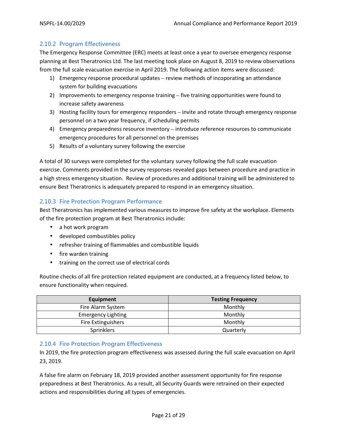#### **2.10.2 Program Effectiveness**

The Emergency Response Committee (ERC) meets at least once a year to oversee emergency response planning at Best Theratronics Ltd. The last meeting took place on August 8, 2019 to review observations from the full scale evacuation exercise in April 2019. The following action items were discussed:

- 1) Emergency response procedural updates review methods of incoporating an attendance system for building evacuations
- 2) Improvements to emergency response training five training opportunities were found to increase safety awareness
- 3) Hosting facility tours for emergency responders invite and rotate through emergency response personnel on a two year frequency, if scheduling permits
- 4) Emergency preparedness resource inventory introduce reference resources to communicate emergency procedures for all personnel on the premises
- 5) Results of a voluntary survey following the exercise

A total of 30 surveys were completed for the voluntary survey following the full scale evacuation exercise. Comments provided in the survey responses revealed gaps between procedure and practice in a high stress emergency situation. Review of procedures and additional training will be administered to ensure Best Theratronics is adequately prepared to respond in an emergency situation.

#### **2.10.3 Fire Protection Program Performance**

Best Theratronics has implemented various measures to improve fire safety at the workplace. Elements of the fire protection program at Best Theratronics include:

- a hot work program
- developed combustibles policy
- refresher training of flammables and combustible liquids
- fire warden training
- training on the correct use of electrical cords

Routine checks of all fire protection related equipment are conducted, at a frequency listed below, to ensure functionality when required.

| Equipment                 | <b>Testing Frequency</b> |
|---------------------------|--------------------------|
| Fire Alarm System         | Monthly                  |
| <b>Emergency Lighting</b> | Monthly                  |
| Fire Extinguishers        | Monthly                  |
| Sprinklers                | Quarterly                |

#### **2.10.4 Fire Protection Program Effectiveness**

In 2019, the fire protection program effectiveness was assessed during the full scale evacuation on April 23, 2019.

A false fire alarm on February 18, 2019 provided another assessment opportunity for fire response preparedness at Best Theratronics. As a result, all Security Guards were retrained on their expected actions and responsibilities during all types of emergencies.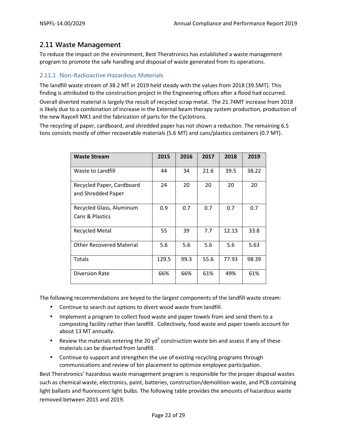## **2.11 Waste Management**

To reduce the impact on the environment, Best Theratronics has established a waste management program to promote the safe handling and disposal of waste generated from its operations.

#### **2.11.1 Non-Radioactive Hazardous Materials**

The landfill waste stream of 38.2 MT in 2019 held steady with the values from 2018 (39.5MT). This finding is attributed to the construction project in the Engineering offices after a flood had occurred.

Overall diverted material is largely the result of recycled scrap metal. The 21.74MT increase from 2018 is likely due to a combination of increase in the External beam therapy system production, production of the new Raycell MK1 and the fabrication of parts for the Cyclotrons.

The recycling of paper, cardboard, and shredded paper has not shown a reduction. The remaining 6.5 tons consists mostly of other recoverable materials (5.6 MT) and cans/plastics containers (0.7 MT).

| <b>Waste Stream</b>                             | 2015  | 2016 | 2017 | 2018  | 2019  |
|-------------------------------------------------|-------|------|------|-------|-------|
| Waste to Landfill                               | 44    | 34   | 21.6 | 39.5  | 38.22 |
| Recycled Paper, Cardboard<br>and Shredded Paper | 24    | 20   | 20   | 20    | 20    |
| Recycled Glass, Aluminum<br>Cans & Plastics     | 0.9   | 0.7  | 0.7  | 0.7   | 0.7   |
| <b>Recycled Metal</b>                           | 55    | 39   | 7.7  | 12.13 | 33.8  |
| <b>Other Recovered Material</b>                 | 5.6   | 5.6  | 5.6  | 5.6   | 5.63  |
| Totals                                          | 129.5 | 99.3 | 55.6 | 77.93 | 98.39 |
| <b>Diversion Rate</b>                           | 66%   | 66%  | 61%  | 49%   | 61%   |

The following recommendations are keyed to the largest components of the landfill waste stream:

- Continue to search out options to divert wood waste from landfill.
- Implement a program to collect food waste and paper towels from and send them to a composting facility rather than landfill. Collectively, food waste and paper towels account for about 13 MT annually.
- Review the materials entering the 20  $yd^3$  construction waste bin and assess if any of these materials can be diverted from landfill.
- Continue to support and strengthen the use of existing recycling programs through communications and review of bin placement to optimize employee participation.

Best Theratronics' hazardous waste management program is responsible for the proper disposal wastes such as chemical waste, electronics, paint, batteries, construction/demolition waste, and PCB containing light ballasts and fluorescent light bulbs. The following table provides the amounts of hazardous waste removed between 2015 and 2019.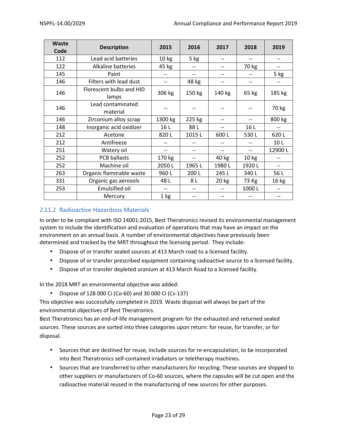| <b>Waste</b><br>Code | <b>Description</b>                | 2015             | 2016   | 2017   | 2018  | 2019   |
|----------------------|-----------------------------------|------------------|--------|--------|-------|--------|
| 112                  | Lead acid batteries               | 10 <sub>kg</sub> | 5 kg   |        |       |        |
| 122                  | Alkaline batteries                | 45 kg            |        |        | 70 kg | --     |
| 145                  | Paint                             | $-$              | --     | $-$    |       | 5 kg   |
| 146                  | Filters with lead dust            | --               | 48 kg  |        |       |        |
| 146                  | Florescent bulbs and HID<br>lamps | 306 kg           | 150 kg | 140 kg | 65 kg | 185 kg |
| 146                  | Lead contaminated<br>material     |                  |        |        |       | 70 kg  |
| 146                  | Zirconium alloy scrap             | 1300 kg          | 225 kg | $-$    |       | 800 kg |
| 148                  | Inorganic acid oxidizer           | 16L              | 88L    |        | 16L   |        |
| 212                  | Acetone                           | 820L             | 1015L  | 600L   | 530L  | 620L   |
| 212                  | Antifreeze                        |                  |        |        |       | 10L    |
| 251                  | Watery oil                        | --               |        | $-$    |       | 12900L |
| 252                  | <b>PCB ballasts</b>               | 170 kg           |        | 40 kg  | 10 kg | $-$    |
| 252                  | Machine oil                       | 2050L            | 1965L  | 1980L  | 1920L | $-$    |
| 263                  | Organic flammable waste           | 960L             | 200L   | 245L   | 340L  | 56L    |
| 331                  | Organic gas aerosols              | 48 L             | 8 L    | 20 kg  | 73 Kg | 16 kg  |
| 253                  | Emulsified oil                    |                  |        |        | 1000L | --     |
|                      | Mercury                           | 1 kg             |        |        |       |        |

#### **2.11.2 Radioactive Hazardous Materials**

In order to be compliant with ISO 14001:2015, Best Theratronics revised its environmental management system to include the identification and evaluation of operations that may have an impact on the environment on an annual basis. A number of environmental objectives have previously been determined and tracked by the MRT throughout the licensing period. They include:

- Dispose of or transfer sealed sources at 413 March road to a licensed facility.
- Dispose of or transfer prescribed equipment containing radioactive source to a licensed facility.
- Dispose of or transfer depleted uranium at 413 March Road to a licensed facility.

In the 2018 MRT an environmental objective was added:

• Dispose of 128 000 Ci (Co-60) and 30 000 Ci (Cs-137)

This objective was successfully completed in 2019. Waste disposal will always be part of the environmental objectives of Best Theratronics.

Best Theratronics has an end-of-life management program for the exhausted and returned sealed sources. These sources are sorted into three categories upon return: for reuse, for transfer, or for disposal.

- Sources that are destined for reuse, include sources for re-encapsulation, to be incorporated into Best Theratronics self-contained irradiators or teletherapy machines.
- Sources that are transferred to other manufacturers for recycling. These sources are shipped to other suppliers or manufacturers of Co-60 sources, where the capsules will be cut open and the radioactive material reused in the manufacturing of new sources for other purposes.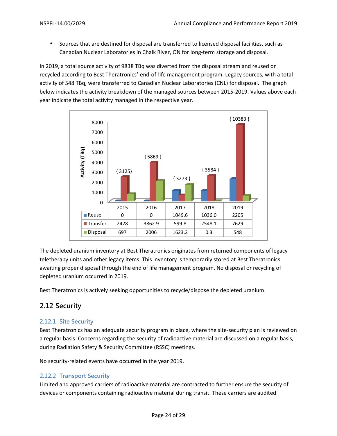• Sources that are destined for disposal are transferred to licensed disposal facilities, such as<br>Canadian Nuclear Laboratories in Chalk River, ON for long-term storage and disposal. Canadian Nuclear Laboratories in Chalk River, ON for long-term storage and disposal

In 2019, a total source activity of 9838 TBq was diverted from the disposal stream and reused or recycled according to Best Theratronics' end-of-life management program. Legacy sources, with a total<br>activity of 548 TBq, were transferred to Canadian Nuclear Laboratories (CNL) for disposal. The graph activity of 548 TBq, were transferred to Canadian Nuclear Laboratories (CNL) for disposal. below indicates the activity breakdown of the managed sources between 2015-2019. Values above each year indicate the total activity managed in the respective year.



The depleted uranium inventory at Best Theratronics originates from returned components of legacy teletherapy units and other legacy items. This inventory is temporarily stored at Best Theratronics awaiting proper disposal through the end of life management program. No disposal or recycling of depleted uranium occurred in 2019 9.

Best Theratronics is actively seeking opportunities to recycle/dispose the depleted uranium.

## **2.12 Security**

#### **2.12.1 Site Security**

Best Theratronics has an adequate security program in place, where the site-security plan is reviewed on Best Theratronics has an adequate security program in place, where the site-security plan is reviewed or<br>a regular basis. Concerns regarding the security of radioactive material are discussed on a regular basis, during Radiation Safety & Security Committee (RSSC) meetings.

No security-related events have occurred in the year 2019.

#### **2.12.2 Transport Security**

Limited and approved carriers of radioactive material are contracted to further ensure the security of<br>devices or components containing radioactive material during transit. These carriers are audited devices or components containing radioactive material during transit. These carriers are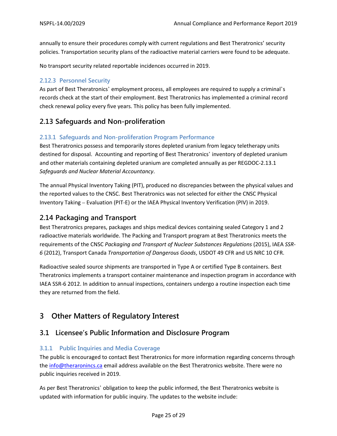annually to ensure their procedures comply with current regulations and Best Theratronics' security policies. Transportation security plans of the radioactive material carriers were found to be adequate.

No transport security related reportable incidences occurred in 2019.

#### **2.12.3 Personnel Security**

As part of Best Theratronics' employment process, all employees are required to supply a criminal's records check at the start of their employment. Best Theratronics has implemented a criminal record check renewal policy every five years. This policy has been fully implemented.

## **2.13 Safeguards and Non-proliferation**

#### **2.13.1 Safeguards and Non-proliferation Program Performance**

Best Theratronics possess and temporarily stores depleted uranium from legacy teletherapy units destined for disposal. Accounting and reporting of Best Theratronics' inventory of depleted uranium and other materials containing depleted uranium are completed annually as per REGDOC-2.13.1 *Safeguards and Nuclear Material Accountancy*.

The annual Physical Inventory Taking (PIT), produced no discrepancies between the physical values and the reported values to the CNSC. Best Theratronics was not selected for either the CNSC Physical Inventory Taking – Evaluation (PIT-E) or the IAEA Physical Inventory Verification (PIV) in 2019.

#### **2.14 Packaging and Transport**

Best Theratronics prepares, packages and ships medical devices containing sealed Category 1 and 2 radioactive materials worldwide. The Packing and Transport program at Best Theratronics meets the requirements of the CNSC *Packaging and Transport of Nuclear Substances Regulations* (2015), IAEA *SSR-6* (2012), Transport Canada *Transportation of Dangerous Goods*, USDOT 49 CFR and US NRC 10 CFR.

Radioactive sealed source shipments are transported in Type A or certified Type B containers. Best Theratronics implements a transport container maintenance and inspection program in accordance with IAEA SSR-6 2012. In addition to annual inspections, containers undergo a routine inspection each time they are returned from the field.

## **3 Other Matters of Regulatory Interest**

#### **3.1 Licensee's Public Information and Disclosure Program**

#### **3.1.1 Public Inquiries and Media Coverage**

The public is encouraged to contact Best Theratronics for more information regarding concerns through the info@theraronincs.ca email address available on the Best Theratronics website. There were no public inquiries received in 2019.

As per Best Theratronics' obligation to keep the public informed, the Best Theratronics website is updated with information for public inquiry. The updates to the website include: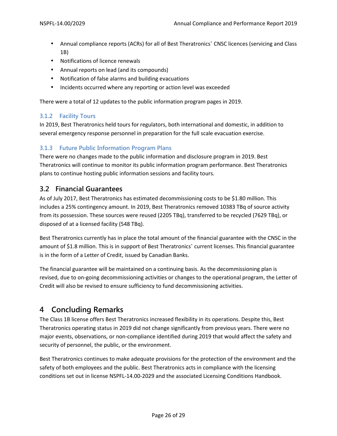- Annual compliance reports (ACRs) for all of Best Theratronics' CNSC licences (servicing and Class 1B)
- Notifications of licence renewals
- Annual reports on lead (and its compounds)
- Notification of false alarms and building evacuations
- Incidents occurred where any reporting or action level was exceeded

There were a total of 12 updates to the public information program pages in 2019.

#### **3.1.2 Facility Tours**

In 2019, Best Theratronics held tours for regulators, both international and domestic, in addition to several emergency response personnel in preparation for the full scale evacuation exercise.

#### **3.1.3 Future Public Information Program Plans**

There were no changes made to the public information and disclosure program in 2019. Best Theratronics will continue to monitor its public information program performance. Best Theratronics plans to continue hosting public information sessions and facility tours.

#### **3.2 Financial Guarantees**

As of July 2017, Best Theratronics has estimated decommissioning costs to be \$1.80 million. This includes a 25% contingency amount. In 2019, Best Theratronics removed 10383 TBq of source activity from its possession. These sources were reused (2205 TBq), transferred to be recycled (7629 TBq), or disposed of at a licensed facility (548 TBq).

Best Theratronics currently has in place the total amount of the financial guarantee with the CNSC in the amount of \$1.8 million. This is in support of Best Theratronics' current licenses. This financial guarantee is in the form of a Letter of Credit, issued by Canadian Banks.

The financial guarantee will be maintained on a continuing basis. As the decommissioning plan is revised, due to on-going decommissioning activities or changes to the operational program, the Letter of Credit will also be revised to ensure sufficiency to fund decommissioning activities.

## **4 Concluding Remarks**

The Class 1B license offers Best Theratronics increased flexibility in its operations. Despite this, Best Theratronics operating status in 2019 did not change significantly from previous years. There were no major events, observations, or non-compliance identified during 2019 that would affect the safety and security of personnel, the public, or the environment.

Best Theratronics continues to make adequate provisions for the protection of the environment and the safety of both employees and the public. Best Theratronics acts in compliance with the licensing conditions set out in license NSPFL-14.00-2029 and the associated Licensing Conditions Handbook.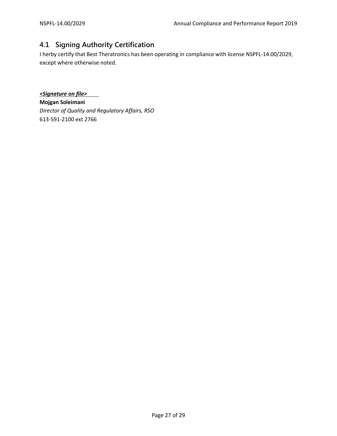## **4.1 Signing Authority Certification**

I herby certify that Best Theratronics has been operating in compliance with license NSPFL-14.00/2029, except where otherwise noted.

*<Signature on file>*  **Mojgan Soleimani**  *Director of Quality and Regulatory Affairs, RSO*  613-591-2100 ext 2766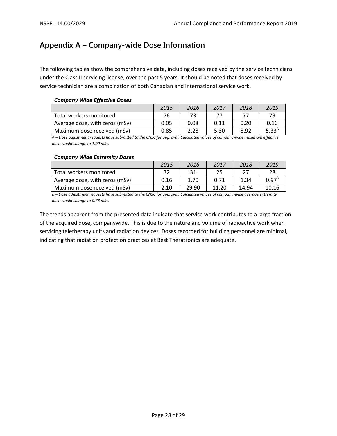## **Appendix A – Company-wide Dose Information**

The following tables show the comprehensive data, including doses received by the service technicians under the Class II servicing license, over the past 5 years. It should be noted that doses received by service technician are a combination of both Canadian and international service work.

#### *Company Wide Effective Doses*

|                                | 2015 | 2016 | 2017 | 2018 | 2019       |
|--------------------------------|------|------|------|------|------------|
| Total workers monitored        | 76   | 73   |      |      | 79         |
| Average dose, with zeros (mSv) | 0.05 | 0.08 | 0.11 | 0.20 | 0.16       |
| Maximum dose received (mSv)    | 0.85 | 2.28 | 5.30 | 8.92 | $5.33^{A}$ |

*A – Dose adjustment requests have submitted to the CNSC for approval. Calculated values of company-wide maximum effective dose would change to 1.00 mSv.* 

#### *Company Wide Extremity Doses*

|                                | 2015 | 2016  | 2017  | 2018  | 2019       |
|--------------------------------|------|-------|-------|-------|------------|
| Total workers monitored        | 32   |       |       | 77    | 28         |
| Average dose, with zeros (mSv) | 0.16 | 1.70  | 0.71  | 1.34  | $0.97^{B}$ |
| Maximum dose received (mSv)    | 2.10 | 29.90 | 11.20 | 14.94 | 10.16      |

*B – Dose adjustment requests have submitted to the CNSC for approval. Calculated values of company-wide average extremity dose would change to 0.78 mSv.* 

The trends apparent from the presented data indicate that service work contributes to a large fraction of the acquired dose, companywide. This is due to the nature and volume of radioactive work when servicing teletherapy units and radiation devices. Doses recorded for building personnel are minimal, indicating that radiation protection practices at Best Theratronics are adequate.